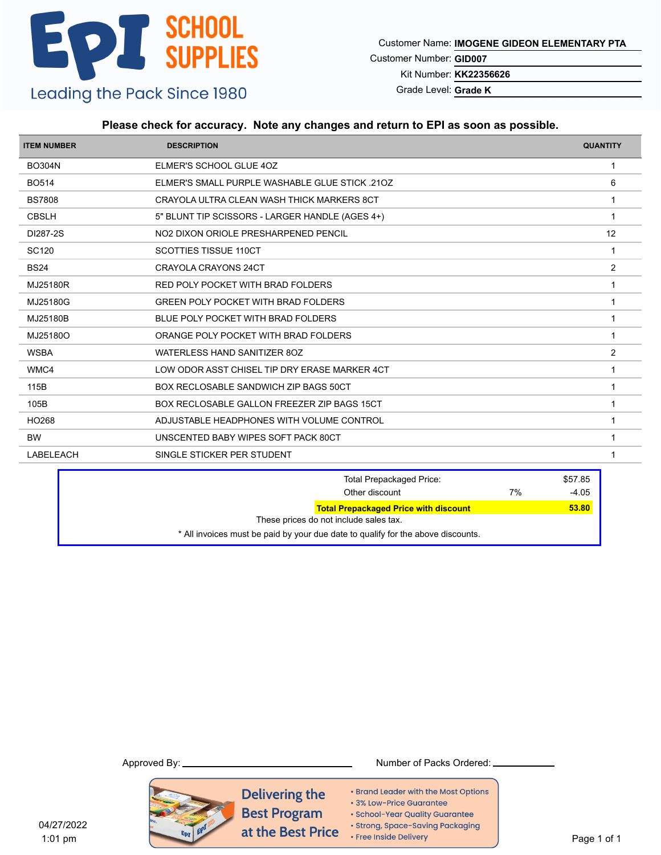Customer Name: **IMOGENE GIDEON ELEMENTARY PTA**

Customer Number: **GID007**

Kit Number: **KK22356626**

Grade Level: **Grade K**

### **Please check for accuracy. Note any changes and return to EPI as soon as possible.**

| <b>ITEM NUMBER</b> | <b>DESCRIPTION</b>                              | <b>QUANTITY</b> |
|--------------------|-------------------------------------------------|-----------------|
| <b>BO304N</b>      | ELMER'S SCHOOL GLUE 4OZ                         | -1              |
| <b>BO514</b>       | ELMER'S SMALL PURPLE WASHABLE GLUE STICK .210Z  | 6               |
| <b>BS7808</b>      | CRAYOLA ULTRA CLEAN WASH THICK MARKERS 8CT      | -1              |
| <b>CBSLH</b>       | 5" BLUNT TIP SCISSORS - LARGER HANDLE (AGES 4+) |                 |
| DI287-2S           | NO2 DIXON ORIOLE PRESHARPENED PENCIL            | 12              |
| SC120              | <b>SCOTTIES TISSUE 110CT</b>                    |                 |
| <b>BS24</b>        | <b>CRAYOLA CRAYONS 24CT</b>                     | 2               |
| MJ25180R           | RED POLY POCKET WITH BRAD FOLDERS               |                 |
| MJ25180G           | <b>GREEN POLY POCKET WITH BRAD FOLDERS</b>      |                 |
| MJ25180B           | BLUE POLY POCKET WITH BRAD FOLDERS              |                 |
| MJ25180O           | ORANGE POLY POCKET WITH BRAD FOLDERS            |                 |
| <b>WSBA</b>        | WATERLESS HAND SANITIZER 8OZ                    | 2               |
| WMC4               | LOW ODOR ASST CHISEL TIP DRY ERASE MARKER 4CT   |                 |
| 115B               | BOX RECLOSABLE SANDWICH ZIP BAGS 50CT           |                 |
| 105B               | BOX RECLOSABLE GALLON FREEZER ZIP BAGS 15CT     |                 |
| HO268              | ADJUSTABLE HEADPHONES WITH VOLUME CONTROL       |                 |
| <b>BW</b>          | UNSCENTED BABY WIPES SOFT PACK 80CT             |                 |
| <b>LABELEACH</b>   | SINGLE STICKER PER STUDENT                      |                 |

| <b>Total Prepackaged Price:</b>                                                  | \$57.85 |
|----------------------------------------------------------------------------------|---------|
| 7%<br>Other discount                                                             | $-4.05$ |
| <b>Total Prepackaged Price with discount</b>                                     | 53.80   |
| These prices do not include sales tax.                                           |         |
| * All invoices must be paid by your due date to qualify for the above discounts. |         |

#### Approved By: Number of Packs Ordered:

Delivering the • Brand Leader with the Most Options · 3% Low-Price Guarantee **Best Program** · School-Year Quality Guarantee · Strong, Space-Saving Packaging at the Best Price • Free Inside Delivery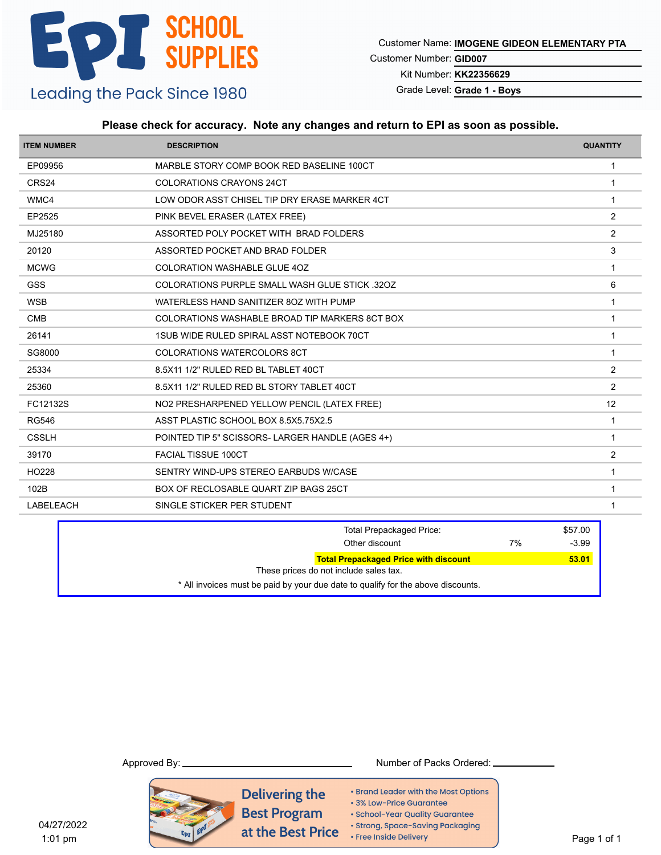Customer Name: **IMOGENE GIDEON ELEMENTARY PTA**

Customer Number: **GID007**

Kit Number: **KK22356629**

Grade Level: **Grade 1 - Boys**

### **Please check for accuracy. Note any changes and return to EPI as soon as possible.**

| <b>ITEM NUMBER</b> | <b>DESCRIPTION</b>                               | <b>QUANTITY</b> |
|--------------------|--------------------------------------------------|-----------------|
| EP09956            | MARBLE STORY COMP BOOK RED BASELINE 100CT        | $\mathbf{1}$    |
| CRS24              | <b>COLORATIONS CRAYONS 24CT</b>                  | $\overline{1}$  |
| WMC4               | LOW ODOR ASST CHISEL TIP DRY ERASE MARKER 4CT    | $\overline{1}$  |
| EP2525             | PINK BEVEL ERASER (LATEX FREE)                   | 2               |
| MJ25180            | ASSORTED POLY POCKET WITH BRAD FOLDERS           | $\overline{c}$  |
| 20120              | ASSORTED POCKET AND BRAD FOLDER                  | 3               |
| <b>MCWG</b>        | <b>COLORATION WASHABLE GLUE 40Z</b>              | $\mathbf 1$     |
| <b>GSS</b>         | COLORATIONS PURPLE SMALL WASH GLUE STICK 320Z    | 6               |
| <b>WSB</b>         | WATERLESS HAND SANITIZER 80Z WITH PUMP           | $\overline{1}$  |
| <b>CMB</b>         | COLORATIONS WASHABLE BROAD TIP MARKERS 8CT BOX   | $\overline{1}$  |
| 26141              | 1SUB WIDE RULED SPIRAL ASST NOTEBOOK 70CT        | 1               |
| SG8000             | <b>COLORATIONS WATERCOLORS 8CT</b>               | $\mathbf 1$     |
| 25334              | 8.5X11 1/2" RULED RED BL TABLET 40CT             | 2               |
| 25360              | 8.5X11 1/2" RULED RED BL STORY TABLET 40CT       | 2               |
| FC12132S           | NO2 PRESHARPENED YELLOW PENCIL (LATEX FREE)      | 12              |
| <b>RG546</b>       | ASST PLASTIC SCHOOL BOX 8.5X5.75X2.5             | -1              |
| <b>CSSLH</b>       | POINTED TIP 5" SCISSORS- LARGER HANDLE (AGES 4+) | $\overline{1}$  |
| 39170              | <b>FACIAL TISSUE 100CT</b>                       | 2               |
| HO228              | SENTRY WIND-UPS STEREO EARBUDS W/CASE            | 1               |
| 102B               | BOX OF RECLOSABLE QUART ZIP BAGS 25CT            | $\overline{1}$  |
| <b>LABELEACH</b>   | SINGLE STICKER PER STUDENT                       | 1               |

| <b>Total Prepackaged Price:</b><br>Other discount                                      | 7% | \$57.00<br>$-3.99$ |
|----------------------------------------------------------------------------------------|----|--------------------|
| <b>Total Prepackaged Price with discount</b><br>These prices do not include sales tax. |    | 53.01              |
| * All invoices must be paid by your due date to qualify for the above discounts.       |    |                    |

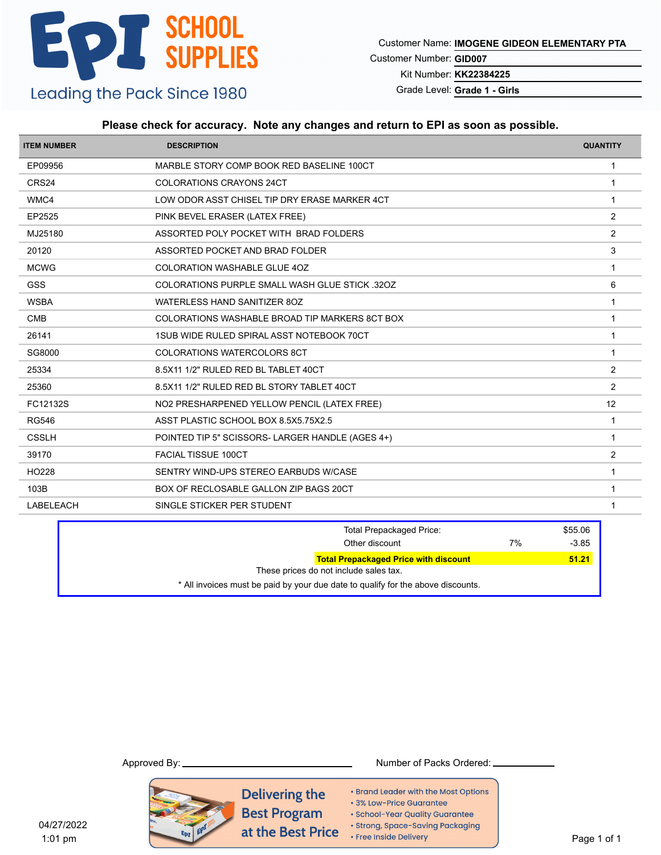Customer Name: **IMOGENE GIDEON ELEMENTARY PTA**

Customer Number: **GID007**

Kit Number: **KK22384225**

Grade Level: **Grade 1 - Girls**

### **Please check for accuracy. Note any changes and return to EPI as soon as possible.**

| <b>ITEM NUMBER</b> | <b>DESCRIPTION</b>                                    | <b>QUANTITY</b> |
|--------------------|-------------------------------------------------------|-----------------|
| EP09956            | MARBLE STORY COMP BOOK RED BASELINE 100CT             | $\mathbf{1}$    |
| CRS24              | <b>COLORATIONS CRAYONS 24CT</b>                       | $\overline{1}$  |
| WMC4               | LOW ODOR ASST CHISEL TIP DRY ERASE MARKER 4CT         | $\overline{1}$  |
| EP2525             | PINK BEVEL ERASER (LATEX FREE)                        | 2               |
| MJ25180            | ASSORTED POLY POCKET WITH BRAD FOLDERS                | 2               |
| 20120              | ASSORTED POCKET AND BRAD FOLDER                       | 3               |
| <b>MCWG</b>        | <b>COLORATION WASHABLE GLUE 40Z</b>                   |                 |
| GSS                | <b>COLORATIONS PURPLE SMALL WASH GLUE STICK .32OZ</b> | 6               |
| <b>WSBA</b>        | WATERLESS HAND SANITIZER 80Z                          | $\mathbf 1$     |
| <b>CMB</b>         | COLORATIONS WASHABLE BROAD TIP MARKERS 8CT BOX        | 1               |
| 26141              | 1SUB WIDE RULED SPIRAL ASST NOTEBOOK 70CT             | 1               |
| SG8000             | <b>COLORATIONS WATERCOLORS 8CT</b>                    | $\overline{1}$  |
| 25334              | 8.5X11 1/2" RULED RED BL TABLET 40CT                  | 2               |
| 25360              | 8.5X11 1/2" RULED RED BL STORY TABLET 40CT            | 2               |
| FC12132S           | NO2 PRESHARPENED YELLOW PENCIL (LATEX FREE)           | 12              |
| <b>RG546</b>       | ASST PLASTIC SCHOOL BOX 8.5X5.75X2.5                  | 1               |
| <b>CSSLH</b>       | POINTED TIP 5" SCISSORS- LARGER HANDLE (AGES 4+)      | -1              |
| 39170              | <b>FACIAL TISSUE 100CT</b>                            | $\overline{c}$  |
| HO228              | SENTRY WIND-UPS STEREO EARBUDS W/CASE                 | $\overline{1}$  |
| 103B               | BOX OF RECLOSABLE GALLON ZIP BAGS 20CT                | -1              |
| <b>LABELEACH</b>   | SINGLE STICKER PER STUDENT                            | 1               |

| <b>Total Prepackaged Price:</b><br>Other discount                                | 7% | \$55.06<br>$-3.85$ |
|----------------------------------------------------------------------------------|----|--------------------|
| <b>Total Prepackaged Price with discount</b>                                     |    | 51.21              |
| These prices do not include sales tax.                                           |    |                    |
| * All invoices must be paid by your due date to qualify for the above discounts. |    |                    |

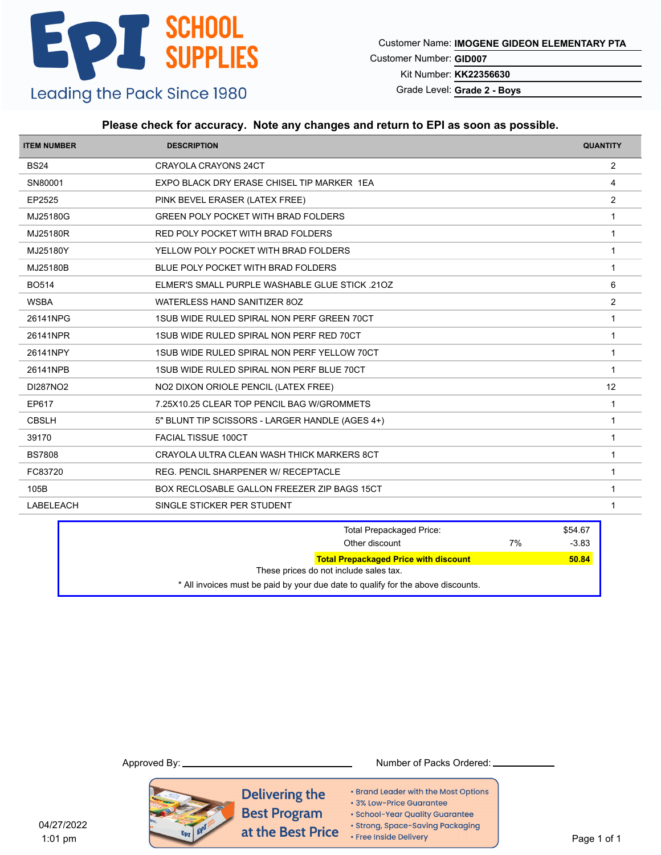Customer Name: **IMOGENE GIDEON ELEMENTARY PTA**

Customer Number: **GID007**

Kit Number: **KK22356630**

Grade Level: **Grade 2 - Boys**

### **Please check for accuracy. Note any changes and return to EPI as soon as possible.**

| <b>ITEM NUMBER</b> | <b>DESCRIPTION</b>                              | <b>QUANTITY</b> |
|--------------------|-------------------------------------------------|-----------------|
| <b>BS24</b>        | CRAYOLA CRAYONS 24CT                            | 2               |
| SN80001            | EXPO BLACK DRY ERASE CHISEL TIP MARKER 1EA      | 4               |
| EP2525             | PINK BEVEL ERASER (LATEX FREE)                  | $\overline{2}$  |
| MJ25180G           | <b>GREEN POLY POCKET WITH BRAD FOLDERS</b>      | $\mathbf{1}$    |
| MJ25180R           | RED POLY POCKET WITH BRAD FOLDERS               | 1               |
| MJ25180Y           | YELLOW POLY POCKET WITH BRAD FOLDERS            | -1              |
| MJ25180B           | BLUE POLY POCKET WITH BRAD FOLDERS              | 1               |
| <b>BO514</b>       | ELMER'S SMALL PURPLE WASHABLE GLUE STICK .210Z  | 6               |
| <b>WSBA</b>        | WATERLESS HAND SANITIZER 8OZ                    | 2               |
| 26141NPG           | 1SUB WIDE RULED SPIRAL NON PERF GREEN 70CT      | 1               |
| 26141NPR           | 1SUB WIDE RULED SPIRAL NON PERF RED 70CT        | $\mathbf 1$     |
| 26141NPY           | 1SUB WIDE RULED SPIRAL NON PERF YELLOW 70CT     | $\mathbf 1$     |
| 26141NPB           | 1SUB WIDE RULED SPIRAL NON PERF BLUE 70CT       | $\overline{1}$  |
| DI287NO2           | NO2 DIXON ORIOLE PENCIL (LATEX FREE)            | 12              |
| EP617              | 7.25X10.25 CLEAR TOP PENCIL BAG W/GROMMETS      | $\overline{1}$  |
| <b>CBSLH</b>       | 5" BLUNT TIP SCISSORS - LARGER HANDLE (AGES 4+) | 1               |
| 39170              | <b>FACIAL TISSUE 100CT</b>                      | $\overline{1}$  |
| <b>BS7808</b>      | CRAYOLA ULTRA CLEAN WASH THICK MARKERS 8CT      | $\mathbf 1$     |
| FC83720            | <b>REG. PENCIL SHARPENER W/ RECEPTACLE</b>      | $\overline{1}$  |
| 105B               | BOX RECLOSABLE GALLON FREEZER ZIP BAGS 15CT     | 1               |
| <b>LABELEACH</b>   | SINGLE STICKER PER STUDENT                      | $\mathbf 1$     |
|                    |                                                 |                 |

| <b>Total Prepackaged Price:</b><br>Other discount                                      | 7% | \$54.67<br>$-3.83$ |
|----------------------------------------------------------------------------------------|----|--------------------|
| <b>Total Prepackaged Price with discount</b><br>These prices do not include sales tax. |    | 50.84              |
| * All invoices must be paid by your due date to qualify for the above discounts.       |    |                    |

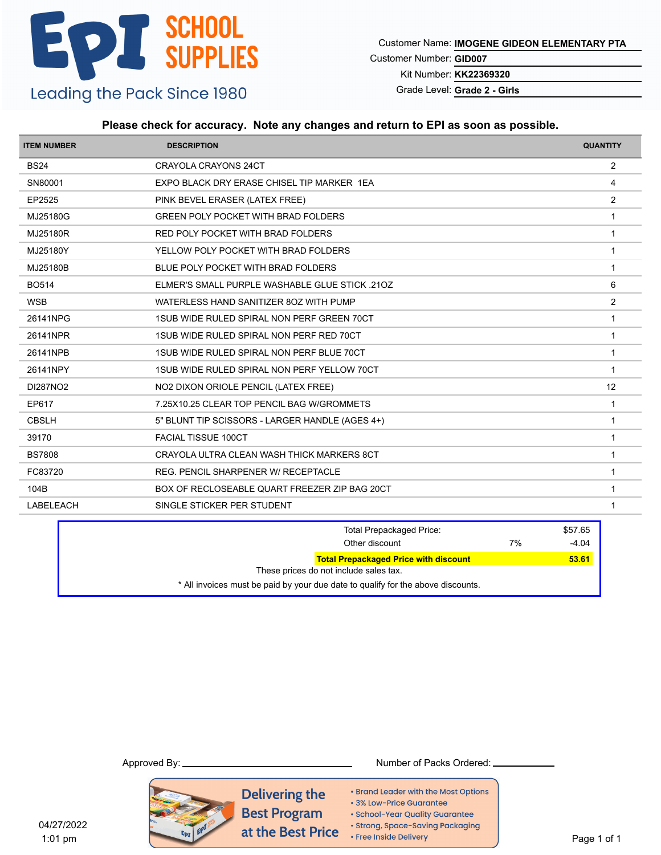Customer Name: **IMOGENE GIDEON ELEMENTARY PTA**

Customer Number: **GID007**

Kit Number: **KK22369320**

Grade Level: **Grade 2 - Girls**

### **Please check for accuracy. Note any changes and return to EPI as soon as possible.**

| <b>ITEM NUMBER</b> | <b>DESCRIPTION</b>                              | <b>QUANTITY</b> |
|--------------------|-------------------------------------------------|-----------------|
| <b>BS24</b>        | <b>CRAYOLA CRAYONS 24CT</b>                     | $\overline{2}$  |
| SN80001            | EXPO BLACK DRY ERASE CHISEL TIP MARKER 1EA      | 4               |
| EP2525             | PINK BEVEL ERASER (LATEX FREE)                  | 2               |
| MJ25180G           | <b>GREEN POLY POCKET WITH BRAD FOLDERS</b>      | $\mathbf 1$     |
| MJ25180R           | RED POLY POCKET WITH BRAD FOLDERS               | $\overline{1}$  |
| MJ25180Y           | YELLOW POLY POCKET WITH BRAD FOLDERS            | 1               |
| MJ25180B           | BLUE POLY POCKET WITH BRAD FOLDERS              | 1               |
| <b>BO514</b>       | ELMER'S SMALL PURPLE WASHABLE GLUE STICK .210Z  | 6               |
| <b>WSB</b>         | WATERLESS HAND SANITIZER 80Z WITH PUMP          | 2               |
| 26141NPG           | 1SUB WIDE RULED SPIRAL NON PERF GREEN 70CT      | $\overline{1}$  |
| 26141NPR           | 1SUB WIDE RULED SPIRAL NON PERF RED 70CT        | $\mathbf 1$     |
| 26141NPB           | 1SUB WIDE RULED SPIRAL NON PERF BLUE 70CT       | $\mathbf 1$     |
| 26141NPY           | 1SUB WIDE RULED SPIRAL NON PERF YELLOW 70CT     | $\overline{1}$  |
| DI287NO2           | NO2 DIXON ORIOLE PENCIL (LATEX FREE)            | 12              |
| EP617              | 7.25X10.25 CLEAR TOP PENCIL BAG W/GROMMETS      | $\overline{1}$  |
| <b>CBSLH</b>       | 5" BLUNT TIP SCISSORS - LARGER HANDLE (AGES 4+) | $\overline{1}$  |
| 39170              | <b>FACIAL TISSUE 100CT</b>                      | 1               |
| <b>BS7808</b>      | CRAYOLA ULTRA CLEAN WASH THICK MARKERS 8CT      | $\overline{1}$  |
| FC83720            | REG. PENCIL SHARPENER W/ RECEPTACLE             | $\overline{1}$  |
| 104B               | BOX OF RECLOSEABLE QUART FREEZER ZIP BAG 20CT   | -1              |
| <b>LABELEACH</b>   | SINGLE STICKER PER STUDENT                      | 1               |

| <b>Total Prepackaged Price:</b><br>Other discount                                | 7% | \$57.65<br>$-4.04$ |
|----------------------------------------------------------------------------------|----|--------------------|
| <b>Total Prepackaged Price with discount</b>                                     |    | 53.61              |
| These prices do not include sales tax.                                           |    |                    |
| * All invoices must be paid by your due date to qualify for the above discounts. |    |                    |

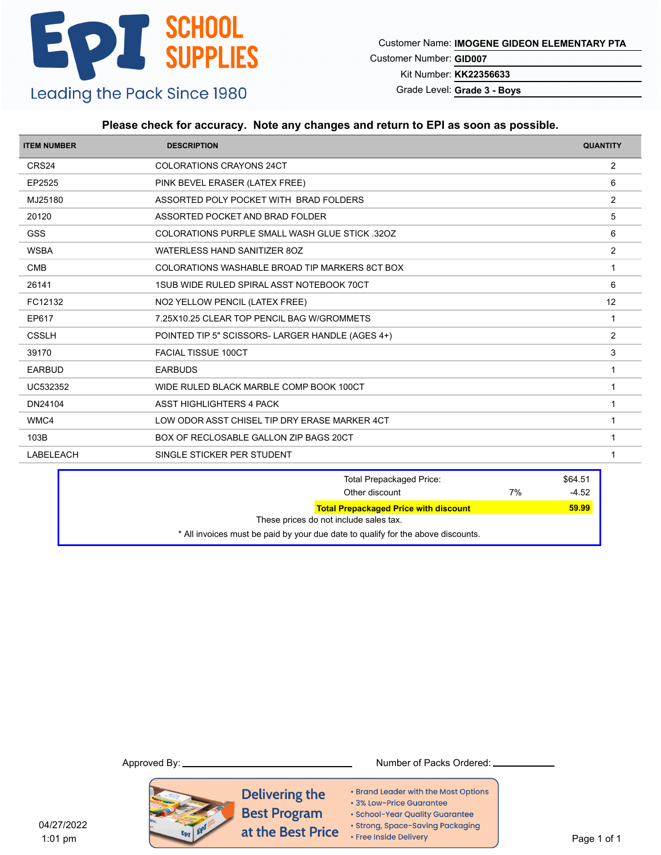Customer Name: **IMOGENE GIDEON ELEMENTARY PTA**

Customer Number: **GID007**

Kit Number: **KK22356633**

Grade Level: **Grade 3 - Boys**

### **Please check for accuracy. Note any changes and return to EPI as soon as possible.**

| <b>ITEM NUMBER</b> | <b>DESCRIPTION</b>                               | <b>QUANTITY</b> |
|--------------------|--------------------------------------------------|-----------------|
| CRS24              | <b>COLORATIONS CRAYONS 24CT</b>                  | 2               |
| EP2525             | PINK BEVEL ERASER (LATEX FREE)                   | 6               |
| MJ25180            | ASSORTED POLY POCKET WITH BRAD FOLDERS           | 2               |
| 20120              | ASSORTED POCKET AND BRAD FOLDER                  | 5               |
| <b>GSS</b>         | COLORATIONS PURPLE SMALL WASH GLUE STICK 320Z    | 6               |
| <b>WSBA</b>        | WATERLESS HAND SANITIZER 8OZ                     | 2               |
| <b>CMB</b>         | COLORATIONS WASHABLE BROAD TIP MARKERS 8CT BOX   |                 |
| 26141              | 1SUB WIDE RULED SPIRAL ASST NOTEBOOK 70CT        | 6               |
| FC12132            | NO2 YELLOW PENCIL (LATEX FREE)                   | 12              |
| EP617              | 7.25X10.25 CLEAR TOP PENCIL BAG W/GROMMETS       |                 |
| <b>CSSLH</b>       | POINTED TIP 5" SCISSORS- LARGER HANDLE (AGES 4+) | 2               |
| 39170              | <b>FACIAL TISSUE 100CT</b>                       | 3               |
| <b>EARBUD</b>      | <b>EARBUDS</b>                                   |                 |
| UC532352           | WIDE RULED BLACK MARBLE COMP BOOK 100CT          | -1              |
| DN24104            | ASST HIGHLIGHTERS 4 PACK                         |                 |
| WMC4               | LOW ODOR ASST CHISEL TIP DRY ERASE MARKER 4CT    | 1               |
| 103B               | BOX OF RECLOSABLE GALLON ZIP BAGS 20CT           |                 |
| <b>LABELEACH</b>   | SINGLE STICKER PER STUDENT                       |                 |

| <b>Total Prepackaged Price:</b>                                                  | \$64.51 |
|----------------------------------------------------------------------------------|---------|
| 7%<br>Other discount                                                             | $-4.52$ |
| <b>Total Prepackaged Price with discount</b>                                     | 59.99   |
| These prices do not include sales tax.                                           |         |
| * All invoices must be paid by your due date to qualify for the above discounts. |         |

#### Approved By: Number of Packs Ordered:

Delivering the • Brand Leader with the Most Options · 3% Low-Price Guarantee **Best Program** · School-Year Quality Guarantee · Strong, Space-Saving Packaging at the Best Price • Free Inside Delivery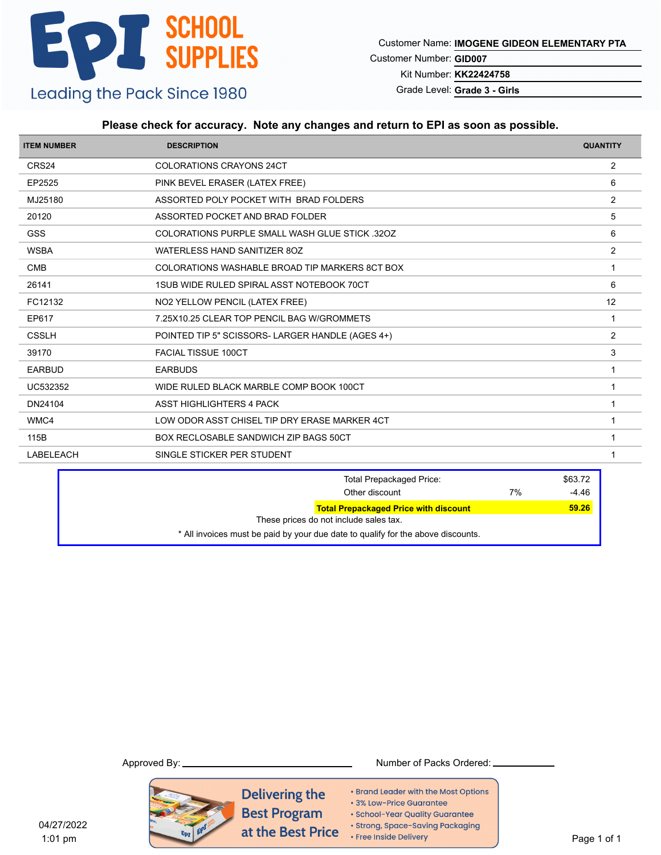Customer Name: **IMOGENE GIDEON ELEMENTARY PTA**

Customer Number: **GID007**

Kit Number: **KK22424758**

Grade Level: **Grade 3 - Girls**

### **Please check for accuracy. Note any changes and return to EPI as soon as possible.**

| <b>ITEM NUMBER</b> | <b>DESCRIPTION</b>                                   | <b>QUANTITY</b> |
|--------------------|------------------------------------------------------|-----------------|
| CRS24              | <b>COLORATIONS CRAYONS 24CT</b>                      | 2               |
| EP2525             | PINK BEVEL ERASER (LATEX FREE)                       | 6               |
| MJ25180            | ASSORTED POLY POCKET WITH BRAD FOLDERS               | 2               |
| 20120              | ASSORTED POCKET AND BRAD FOLDER                      | 5               |
| <b>GSS</b>         | <b>COLORATIONS PURPLE SMALL WASH GLUE STICK 320Z</b> | 6               |
| <b>WSBA</b>        | WATERLESS HAND SANITIZER 8OZ                         | 2               |
| <b>CMB</b>         | COLORATIONS WASHABLE BROAD TIP MARKERS 8CT BOX       |                 |
| 26141              | 1SUB WIDE RULED SPIRAL ASST NOTEBOOK 70CT            | 6               |
| FC12132            | NO2 YELLOW PENCIL (LATEX FREE)                       | 12              |
| EP617              | 7.25X10.25 CLEAR TOP PENCIL BAG W/GROMMETS           | -1              |
| <b>CSSLH</b>       | POINTED TIP 5" SCISSORS- LARGER HANDLE (AGES 4+)     | 2               |
| 39170              | <b>FACIAL TISSUE 100CT</b>                           | 3               |
| <b>EARBUD</b>      | <b>EARBUDS</b>                                       | -1              |
| UC532352           | WIDE RULED BLACK MARBLE COMP BOOK 100CT              |                 |
| DN24104            | ASST HIGHLIGHTERS 4 PACK                             |                 |
| WMC4               | LOW ODOR ASST CHISEL TIP DRY ERASE MARKER 4CT        |                 |
| 115B               | <b>BOX RECLOSABLE SANDWICH ZIP BAGS 50CT</b>         |                 |
| <b>LABELEACH</b>   | SINGLE STICKER PER STUDENT                           |                 |

|                                        | <b>Total Prepackaged Price:</b>                                                  |    | \$63.72 |
|----------------------------------------|----------------------------------------------------------------------------------|----|---------|
|                                        | Other discount                                                                   | 7% | $-4.46$ |
|                                        | <b>Total Prepackaged Price with discount</b>                                     |    | 59.26   |
| These prices do not include sales tax. |                                                                                  |    |         |
|                                        | * All invoices must be paid by your due date to qualify for the above discounts. |    |         |

#### Approved By: Number of Packs Ordered:

Delivering the • Brand Leader with the Most Options · 3% Low-Price Guarantee **Best Program** · School-Year Quality Guarantee · Strong, Space-Saving Packaging at the Best Price • Free Inside Delivery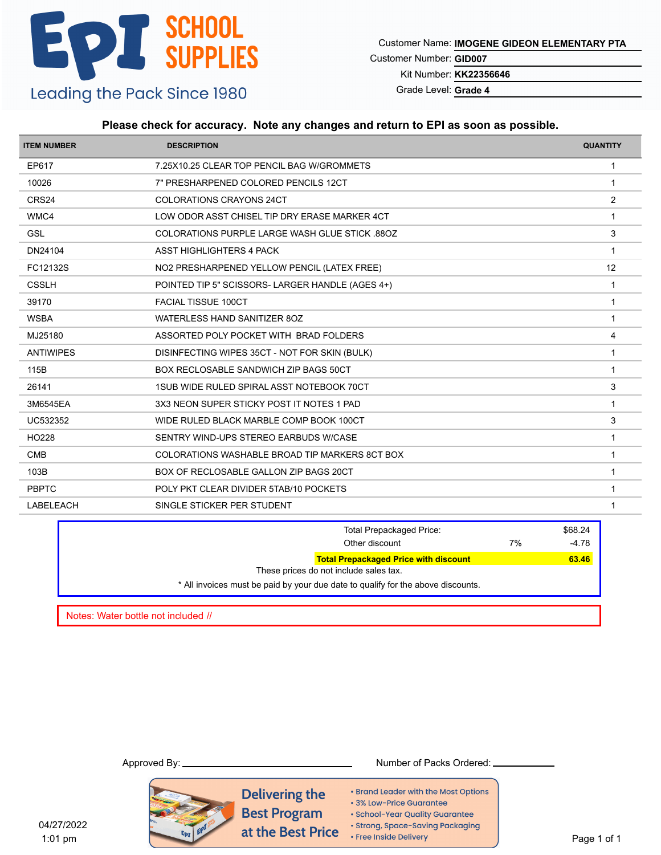Customer Name: **IMOGENE GIDEON ELEMENTARY PTA**

Customer Number: **GID007**

Kit Number: **KK22356646**

Grade Level: **Grade 4**

### **Please check for accuracy. Note any changes and return to EPI as soon as possible.**

| <b>ITEM NUMBER</b> | <b>DESCRIPTION</b>                                    | <b>QUANTITY</b> |
|--------------------|-------------------------------------------------------|-----------------|
| EP617              | 7.25X10.25 CLEAR TOP PENCIL BAG W/GROMMETS            | $\mathbf{1}$    |
| 10026              | 7" PRESHARPENED COLORED PENCILS 12CT                  | $\overline{1}$  |
| CRS24              | COLORATIONS CRAYONS 24CT                              | 2               |
| WMC4               | LOW ODOR ASST CHISEL TIP DRY ERASE MARKER 4CT         | $\mathbf 1$     |
| <b>GSL</b>         | <b>COLORATIONS PURPLE LARGE WASH GLUE STICK .88OZ</b> | 3               |
| DN24104            | <b>ASST HIGHLIGHTERS 4 PACK</b>                       | -1              |
| FC12132S           | NO2 PRESHARPENED YELLOW PENCIL (LATEX FREE)           | 12              |
| <b>CSSLH</b>       | POINTED TIP 5" SCISSORS- LARGER HANDLE (AGES 4+)      | $\mathbf 1$     |
| 39170              | <b>FACIAL TISSUE 100CT</b>                            | $\mathbf 1$     |
| <b>WSBA</b>        | WATERLESS HAND SANITIZER 80Z                          | $\overline{1}$  |
| MJ25180            | ASSORTED POLY POCKET WITH BRAD FOLDERS                | 4               |
| <b>ANTIWIPES</b>   | DISINFECTING WIPES 35CT - NOT FOR SKIN (BULK)         | $\mathbf 1$     |
| 115B               | <b>BOX RECLOSABLE SANDWICH ZIP BAGS 50CT</b>          | 1               |
| 26141              | 1SUB WIDE RULED SPIRAL ASST NOTEBOOK 70CT             | 3               |
| 3M6545EA           | 3X3 NEON SUPER STICKY POST IT NOTES 1 PAD             | $\overline{1}$  |
| UC532352           | WIDE RULED BLACK MARBLE COMP BOOK 100CT               | 3               |
| HO228              | SENTRY WIND-UPS STEREO EARBUDS W/CASE                 | 1               |
| <b>CMB</b>         | COLORATIONS WASHABLE BROAD TIP MARKERS 8CT BOX        | $\mathbf 1$     |
| 103B               | BOX OF RECLOSABLE GALLON ZIP BAGS 20CT                | $\overline{1}$  |
| <b>PBPTC</b>       | POLY PKT CLEAR DIVIDER 5TAB/10 POCKETS                | -1              |
| <b>LABELEACH</b>   | SINGLE STICKER PER STUDENT                            | 1               |

| <b>Total Prepackaged Price:</b><br>Other discount                                      | 7% | \$68.24<br>$-4.78$ |
|----------------------------------------------------------------------------------------|----|--------------------|
| <b>Total Prepackaged Price with discount</b><br>These prices do not include sales tax. |    | 63.46              |
| * All invoices must be paid by your due date to qualify for the above discounts.       |    |                    |
|                                                                                        |    |                    |

Notes: Water bottle not included //